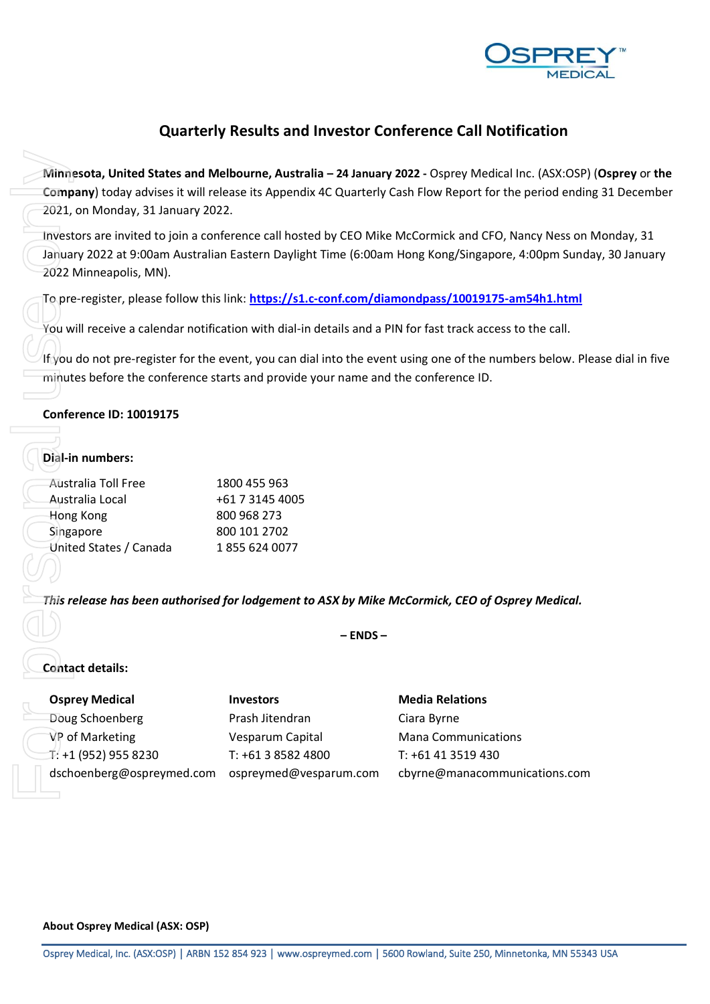

# **Quarterly Results and Investor Conference Call Notification**

**Minnesota, United States and Melbourne, Australia – 24 January 2022 -** Osprey Medical Inc. (ASX:OSP) (**Osprey** or **the Company**) today advises it will release its Appendix 4C Quarterly Cash Flow Report for the period ending 31 December 2021, on Monday, 31 January 2022.

Investors are invited to join a conference call hosted by CEO Mike McCormick and CFO, Nancy Ness on Monday, 31 January 2022 at 9:00am Australian Eastern Daylight Time (6:00am Hong Kong/Singapore, 4:00pm Sunday, 30 January 2022 Minneapolis, MN).

If you do not pre-register for the event, you can dial into the event using one of the numbers below. Please dial in five minutes before the conference starts and provide your name and the conference ID.

#### **Conference ID: 10019175**

### **Dial-in numbers:**

| <b>Australia Toll Free</b> | 1800 455 963    |
|----------------------------|-----------------|
| Australia Local            | +61 7 3145 4005 |
| Hong Kong                  | 800 968 273     |
| Singapore                  | 800 101 2702    |
| United States / Canada     | 18556240077     |
|                            |                 |

## *This release has been authorised for lodgement to ASX by Mike McCormick, CEO of Osprey Medical.*

## **Contact details:**

| 2021, on Monday, 31 January 2022.<br>2022 Minneapolis, MN).                       |                               | Minnesota, United States and Melbourne, Australia - 24 January 2022 - Osprey Medical Inc. (ASX:OSP)<br>Company) today advises it will release its Appendix 4C Quarterly Cash Flow Report for the period endin<br>Investors are invited to join a conference call hosted by CEO Mike McCormick and CFO, Nancy Ness on<br>January 2022 at 9:00am Australian Eastern Daylight Time (6:00am Hong Kong/Singapore, 4:00pm Sund |
|-----------------------------------------------------------------------------------|-------------------------------|--------------------------------------------------------------------------------------------------------------------------------------------------------------------------------------------------------------------------------------------------------------------------------------------------------------------------------------------------------------------------------------------------------------------------|
|                                                                                   |                               | To pre-register, please follow this link: https://s1.c-conf.com/diamondpass/10019175-am54h1.html                                                                                                                                                                                                                                                                                                                         |
|                                                                                   |                               | You will receive a calendar notification with dial-in details and a PIN for fast track access to the call.                                                                                                                                                                                                                                                                                                               |
| minutes before the conference starts and provide your name and the conference ID. |                               | If you do not pre-register for the event, you can dial into the event using one of the numbers below. Ple                                                                                                                                                                                                                                                                                                                |
| <b>Conference ID: 10019175</b>                                                    |                               |                                                                                                                                                                                                                                                                                                                                                                                                                          |
|                                                                                   |                               |                                                                                                                                                                                                                                                                                                                                                                                                                          |
| Dial-in numbers:                                                                  |                               |                                                                                                                                                                                                                                                                                                                                                                                                                          |
| <b>Australia Toll Free</b>                                                        | 1800 455 963                  |                                                                                                                                                                                                                                                                                                                                                                                                                          |
| Australia Local                                                                   | +61 7 3145 4005               |                                                                                                                                                                                                                                                                                                                                                                                                                          |
| Hong Kong                                                                         | 800 968 273                   |                                                                                                                                                                                                                                                                                                                                                                                                                          |
| Singapore<br>United States / Canada                                               | 800 101 2702<br>1855 624 0077 |                                                                                                                                                                                                                                                                                                                                                                                                                          |
|                                                                                   |                               |                                                                                                                                                                                                                                                                                                                                                                                                                          |
|                                                                                   |                               | This release has been authorised for lodgement to ASX by Mike McCormick, CEO of Osprey Medical.                                                                                                                                                                                                                                                                                                                          |
|                                                                                   | $-$ ENDS $-$                  |                                                                                                                                                                                                                                                                                                                                                                                                                          |
| <b>Contact details:</b>                                                           |                               |                                                                                                                                                                                                                                                                                                                                                                                                                          |
| <b>Osprey Medical</b>                                                             | <b>Investors</b>              | <b>Media Relations</b>                                                                                                                                                                                                                                                                                                                                                                                                   |
| Doug Schoenberg                                                                   | Prash Jitendran               | Ciara Byrne                                                                                                                                                                                                                                                                                                                                                                                                              |
| <b>VP</b> of Marketing                                                            | Vesparum Capital              | <b>Mana Communications</b>                                                                                                                                                                                                                                                                                                                                                                                               |
| 1: +1 (952) 955 8230                                                              | T: +61 3 8582 4800            | T: +61 41 3519 430                                                                                                                                                                                                                                                                                                                                                                                                       |
| dschoenberg@ospreymed.com                                                         | ospreymed@vesparum.com        | cbyrne@manacommunications.com                                                                                                                                                                                                                                                                                                                                                                                            |
|                                                                                   |                               |                                                                                                                                                                                                                                                                                                                                                                                                                          |
|                                                                                   |                               |                                                                                                                                                                                                                                                                                                                                                                                                                          |
| <b>About Osprey Medical (ASX: OSP)</b>                                            |                               |                                                                                                                                                                                                                                                                                                                                                                                                                          |